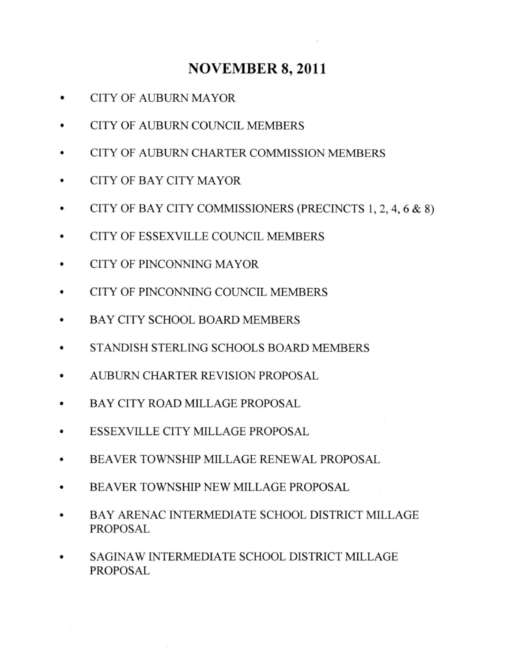## NOVEMBER 8,2011

- CITY OF AUBURN MAYOR
- CITY OF AUBURN COUNCIL MEMBERS
- CITY OF AUBURN CHARTER COMMISSION MEMBERS
- CITY OF BAY CITY MAYOR a
- CITY OF BAY CITY COMMISSIONERS (PRECINCTS 1, 2, 4, 6 & 8) a
- CITY OF ESSEXVILLE COUNCIL MEMBERS a
- CITY OF PINCONNING MAYOR a
- CITY OF PINCONNING COUNCIL MEMBERS a
- BAY CITY SCHOOL BOARD MEMBERS a
- STANDISH STERLING SCHOOLS BOARD MEMBERS a
- AUBURN CHARTER REVISION PROPOSAL a
- BAY CITY ROAD MILLAGE PROPOSAL a
- ESSEXVILLE CITY MILLAGE PROPOSAL
- BEAVER TOWNSHIP MILLAGE RENEWAL PROPOSAL a
- BEAVER TOWNSHIP NEW MILLAGE PROPOSAL a
- BAY ARENAC INTERMEDIATE SCHOOL DISTRICT MILLAGE PROPOSAL a
- SAGINAW INTERMEDIATE SCHOOL DISTRICT MILLAGE PROPOSAL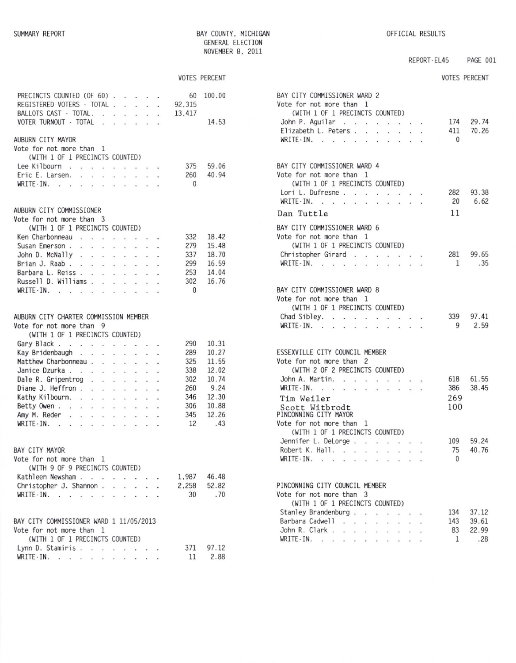BAY COUNTY, MICHIGAN GENERAL ELECTION NOVEMBER 8, 2011

## REPORT-EL45 PAGE 001

VOTES PERCENT

|                                                      |  |  |                                                                     |              | <b>VOTES PERCENT</b> |
|------------------------------------------------------|--|--|---------------------------------------------------------------------|--------------|----------------------|
| PRECINCTS COUNTED (OF 60)                            |  |  |                                                                     | 60           | 100.00               |
| REGISTERED VOTERS - TOTAL                            |  |  |                                                                     | 92,315       |                      |
| BALLOTS CAST - TOTAL.                                |  |  |                                                                     | 13,417       |                      |
| VOTER TURNOUT - TOTAL                                |  |  | $\mathcal{L}=\mathcal{L}$ . The set of the set of the $\mathcal{L}$ |              | 14.53                |
|                                                      |  |  |                                                                     |              |                      |
| AUBURN CITY MAYOR                                    |  |  |                                                                     |              |                      |
| Vote for not more than 1                             |  |  |                                                                     |              |                      |
| (WITH 1 OF 1 PRECINCTS COUNTED)                      |  |  |                                                                     |              |                      |
| Lee Kilbourn                                         |  |  |                                                                     | 375          | 59.06                |
| Eric E. Larsen. 260                                  |  |  |                                                                     |              | 40.94                |
| WRITE-IN.                                            |  |  |                                                                     | $\mathbf{0}$ |                      |
|                                                      |  |  |                                                                     |              |                      |
| AUBURN CITY COMMISSIONER<br>Vote for not more than 3 |  |  |                                                                     |              |                      |
| (WITH 1 OF 1 PRECINCTS COUNTED)                      |  |  |                                                                     |              |                      |
|                                                      |  |  |                                                                     |              | 18.42                |
| Ken Charbonneau                                      |  |  |                                                                     | 332          |                      |
| Susan Emerson                                        |  |  |                                                                     | 279          | 15.48                |
| John D. McNally                                      |  |  |                                                                     | 337          | 18.70                |
| Brian J. Raab                                        |  |  |                                                                     | 299          | 16.59                |
| Barbara L. Reiss                                     |  |  |                                                                     | 253          | 14.04                |
| Russell D. Williams                                  |  |  |                                                                     | 302          | 16.76                |
| WRITE-IN.                                            |  |  |                                                                     | $\Omega$     |                      |
|                                                      |  |  |                                                                     |              |                      |
| AUBURN CITY CHARTER COMMISSION MEMBER                |  |  |                                                                     |              |                      |
| Vote for not more than 9                             |  |  |                                                                     |              |                      |
| (WITH 1 OF 1 PRECINCTS COUNTED)                      |  |  |                                                                     |              |                      |
| Gary Black                                           |  |  |                                                                     | 290          | 10.31                |
| Kay Bridenbaugh                                      |  |  |                                                                     | 289          | 10.27                |
| Matthew Charbonneau                                  |  |  |                                                                     | 325          | 11.55                |
| Janice Dzurka                                        |  |  |                                                                     | 338          | 12.02                |
| Dale R. Gripentrog                                   |  |  |                                                                     | 302          | 10.74                |
| Diane J. Heffron                                     |  |  |                                                                     | 260          | 9.24                 |
| Kathy Kilbourn.                                      |  |  |                                                                     | 346          | 12.30                |
| Betty Owen                                           |  |  |                                                                     | 306          | 10.88                |
| Amy M. Reder                                         |  |  |                                                                     | 345          | 12.26                |
| WRITE-IN.                                            |  |  |                                                                     | 12           | .43                  |
|                                                      |  |  |                                                                     |              |                      |
|                                                      |  |  |                                                                     |              |                      |
| BAY CITY MAYOR                                       |  |  |                                                                     |              |                      |
| Vote for not more than 1                             |  |  |                                                                     |              |                      |
| (WITH 9 OF 9 PRECINCTS COUNTED)                      |  |  |                                                                     |              |                      |
| Kathleen Newsham<br>Christopher J. Shannon           |  |  |                                                                     |              | 1,987 46.48          |
|                                                      |  |  |                                                                     |              | 2,258 52.82          |
| WRITE - IN. $\cdots$                                 |  |  |                                                                     | 30           | .70                  |
|                                                      |  |  |                                                                     |              |                      |
| BAY CITY COMMISSIONER WARD 1 11/05/2013              |  |  |                                                                     |              |                      |
| Vote for not more than 1                             |  |  |                                                                     |              |                      |
| (WITH 1 OF 1 PRECINCTS COUNTED)                      |  |  |                                                                     |              |                      |
| Lynn D. Stamiris                                     |  |  |                                                                     |              | 371 97.12            |
| WRITE-IN.                                            |  |  |                                                                     |              | 11 2.88              |

| BAY CITY COMMISSIONER WARD 2<br>Vote for not more than 1<br>(WITH 1 OF 1 PRECINCTS COUNTED)               |           |                            |                |                         |        |                |       |
|-----------------------------------------------------------------------------------------------------------|-----------|----------------------------|----------------|-------------------------|--------|----------------|-------|
| John P. Aguilar                                                                                           |           |                            |                | $\cdots$                |        | 174            | 29.74 |
| Elizabeth L. Peters.<br>a.                                                                                | $\sim$    | ×.                         | $\sim$         | $\sim$                  | $\sim$ | 411            | 70.26 |
| WRITE-IN.                                                                                                 |           |                            |                |                         |        | $\bf{0}$       |       |
|                                                                                                           |           |                            |                |                         |        |                |       |
| BAY CITY COMMISSIONER WARD 4                                                                              |           |                            |                |                         |        |                |       |
| Vote for not more than 1                                                                                  |           |                            |                |                         |        |                |       |
| (WITH 1 OF 1 PRECINCTS COUNTED)                                                                           |           |                            |                |                         |        |                |       |
| Lori L. Dufresne                                                                                          |           |                            |                |                         |        | 282            | 93.38 |
| WRITE-IN.<br>the contract of the contract of the                                                          |           |                            |                |                         |        | 20             | 6.62  |
| Dan Tuttle                                                                                                |           |                            |                |                         |        | 11             |       |
| BAY CITY COMMISSIONER WARD 6<br>Vote for not more than 1                                                  |           |                            |                |                         |        |                |       |
| (WITH 1 OF 1 PRECINCTS COUNTED)                                                                           |           |                            |                |                         |        |                |       |
| Christopher Girard                                                                                        |           |                            |                |                         |        | 281            | 99.65 |
| $WRITE-IN.$<br>an.<br>÷.                                                                                  |           |                            |                |                         |        | 1              | .35   |
|                                                                                                           |           |                            |                |                         |        |                |       |
| BAY CITY COMMISSIONER WARD 8                                                                              |           |                            |                |                         |        |                |       |
| Vote for not more than 1<br>(WITH 1 OF 1 PRECINCTS COUNTED)                                               |           |                            |                |                         |        |                |       |
| Chad Sibley.                                                                                              |           |                            |                |                         |        | 339            | 97.41 |
| WRITE-IN.<br>$\sim$<br>$\ddot{\phantom{0}}$                                                               |           |                            |                |                         |        | 9              | 2.59  |
|                                                                                                           |           |                            |                |                         |        |                |       |
| ESSEXVILLE CITY COUNCIL MEMBER                                                                            |           |                            |                |                         |        |                |       |
| Vote for not more than 2                                                                                  |           |                            |                |                         |        |                |       |
| (WITH 2 OF 2 PRECINCTS COUNTED)                                                                           |           |                            |                |                         |        |                |       |
| John A. Martin.<br>$\sim$                                                                                 | $\sim$    |                            | $\cdot$ .      |                         |        | 618            | 61.55 |
| WRITE-IN.<br>the contract of the contract of the                                                          |           |                            |                | $\cdot$ $\cdot$ $\cdot$ |        | 386            | 38.45 |
| Tim Weiler                                                                                                |           |                            |                |                         |        | 269            |       |
| Scott Witbrodt<br>PINCONNING CITY MAYOR                                                                   |           |                            |                |                         |        | 100            |       |
| Vote for not more than<br>-1                                                                              |           |                            |                |                         |        |                |       |
| (WITH 1 OF 1 PRECINCTS COUNTED)                                                                           |           |                            |                |                         |        |                |       |
| Jennifer L. DeLorge                                                                                       | Germany 1 | $\mathcal{D}^{\text{max}}$ | $\sim$ $\sim$  |                         |        | 109            | 59.24 |
| Robert K. Hall.<br>$\sim$                                                                                 |           |                            |                |                         |        | 75             | 40.76 |
| $WRITE-IN.$<br>$\begin{array}{ccccccccccccc} \bullet & \bullet & \bullet & \bullet & \bullet \end{array}$ |           |                            | $\blacksquare$ |                         |        | $\overline{0}$ |       |
| PINCONNING CITY COUNCIL MEMBER                                                                            |           |                            |                |                         |        |                |       |
| Vote for not more than 3                                                                                  |           |                            |                |                         |        |                |       |
| (WITH 1 OF 1 PRECINCTS COUNTED)                                                                           |           |                            |                |                         |        |                |       |
| Stanley Brandenburg.<br>$\ddot{\phantom{a}}$                                                              |           |                            |                |                         |        | 134            | 37.12 |
| Barbara Cadwell<br>l,                                                                                     |           |                            |                |                         |        | 143            | 39.61 |
| John R. Clark.<br>$\ddot{\phantom{0}}$                                                                    |           |                            |                |                         |        | 83             | 22.99 |
| WRITE-IN.<br>÷.<br>$\mathbf{r}_\mathrm{d}$                                                                |           |                            |                |                         |        | 1              | .28   |
|                                                                                                           |           |                            |                |                         |        |                |       |